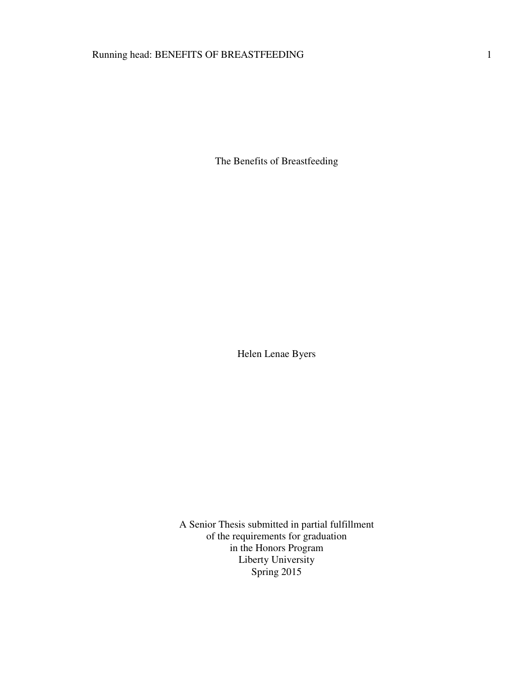# Running head: BENEFITS OF BREASTFEEDING 1

The Benefits of Breastfeeding

Helen Lenae Byers

A Senior Thesis submitted in partial fulfillment of the requirements for graduation in the Honors Program Liberty University Spring 2015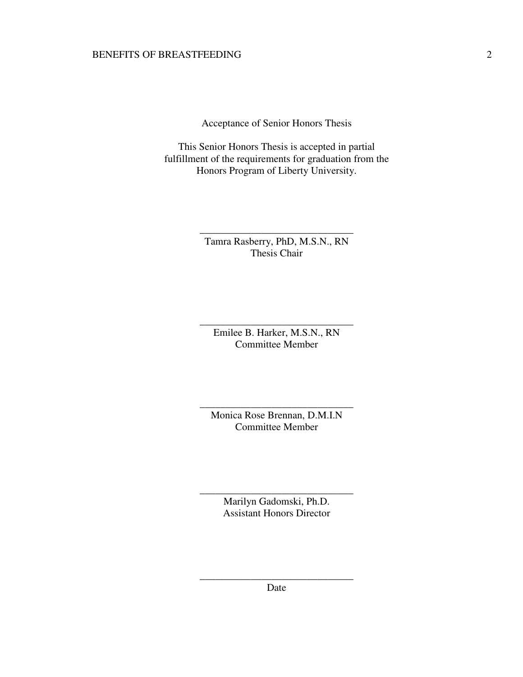Acceptance of Senior Honors Thesis

This Senior Honors Thesis is accepted in partial fulfillment of the requirements for graduation from the Honors Program of Liberty University.

> Tamra Rasberry, PhD, M.S.N., RN Thesis Chair

\_\_\_\_\_\_\_\_\_\_\_\_\_\_\_\_\_\_\_\_\_\_\_\_\_\_\_\_\_\_

Emilee B. Harker, M.S.N., RN Committee Member

\_\_\_\_\_\_\_\_\_\_\_\_\_\_\_\_\_\_\_\_\_\_\_\_\_\_\_\_\_\_

Monica Rose Brennan, D.M.I.N Committee Member

\_\_\_\_\_\_\_\_\_\_\_\_\_\_\_\_\_\_\_\_\_\_\_\_\_\_\_\_\_\_

Marilyn Gadomski, Ph.D. Assistant Honors Director

\_\_\_\_\_\_\_\_\_\_\_\_\_\_\_\_\_\_\_\_\_\_\_\_\_\_\_\_\_\_

\_\_\_\_\_\_\_\_\_\_\_\_\_\_\_\_\_\_\_\_\_\_\_\_\_\_\_\_\_\_ Date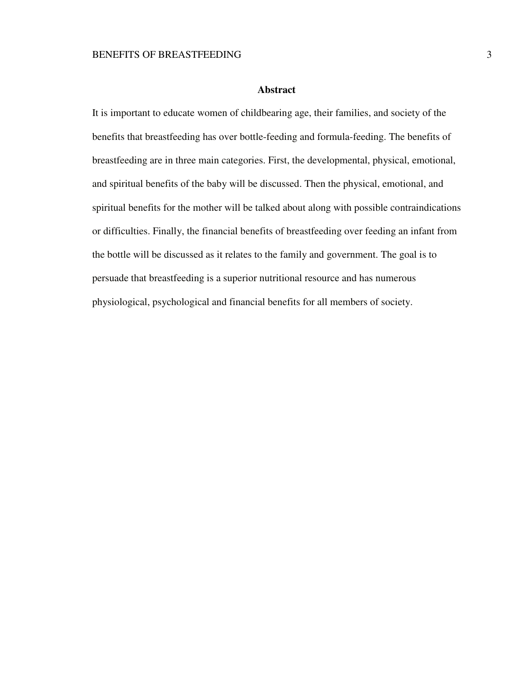## **Abstract**

It is important to educate women of childbearing age, their families, and society of the benefits that breastfeeding has over bottle-feeding and formula-feeding. The benefits of breastfeeding are in three main categories. First, the developmental, physical, emotional, and spiritual benefits of the baby will be discussed. Then the physical, emotional, and spiritual benefits for the mother will be talked about along with possible contraindications or difficulties. Finally, the financial benefits of breastfeeding over feeding an infant from the bottle will be discussed as it relates to the family and government. The goal is to persuade that breastfeeding is a superior nutritional resource and has numerous physiological, psychological and financial benefits for all members of society.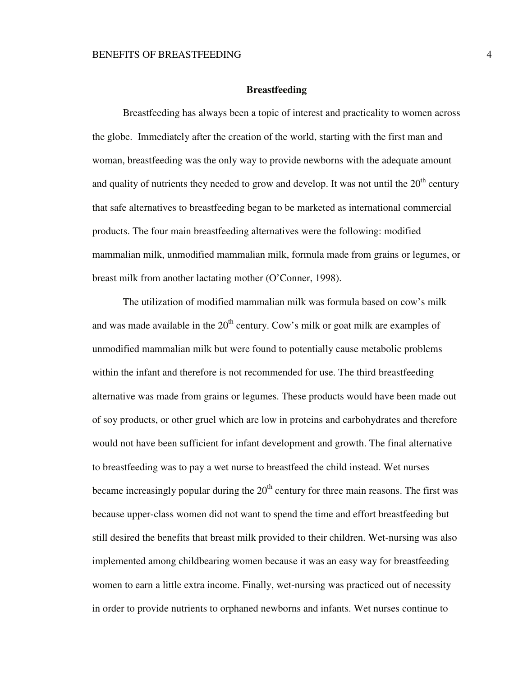## **Breastfeeding**

 Breastfeeding has always been a topic of interest and practicality to women across the globe. Immediately after the creation of the world, starting with the first man and woman, breastfeeding was the only way to provide newborns with the adequate amount and quality of nutrients they needed to grow and develop. It was not until the  $20<sup>th</sup>$  century that safe alternatives to breastfeeding began to be marketed as international commercial products. The four main breastfeeding alternatives were the following: modified mammalian milk, unmodified mammalian milk, formula made from grains or legumes, or breast milk from another lactating mother (O'Conner, 1998).

 The utilization of modified mammalian milk was formula based on cow's milk and was made available in the  $20<sup>th</sup>$  century. Cow's milk or goat milk are examples of unmodified mammalian milk but were found to potentially cause metabolic problems within the infant and therefore is not recommended for use. The third breastfeeding alternative was made from grains or legumes. These products would have been made out of soy products, or other gruel which are low in proteins and carbohydrates and therefore would not have been sufficient for infant development and growth. The final alternative to breastfeeding was to pay a wet nurse to breastfeed the child instead. Wet nurses became increasingly popular during the  $20<sup>th</sup>$  century for three main reasons. The first was because upper-class women did not want to spend the time and effort breastfeeding but still desired the benefits that breast milk provided to their children. Wet-nursing was also implemented among childbearing women because it was an easy way for breastfeeding women to earn a little extra income. Finally, wet-nursing was practiced out of necessity in order to provide nutrients to orphaned newborns and infants. Wet nurses continue to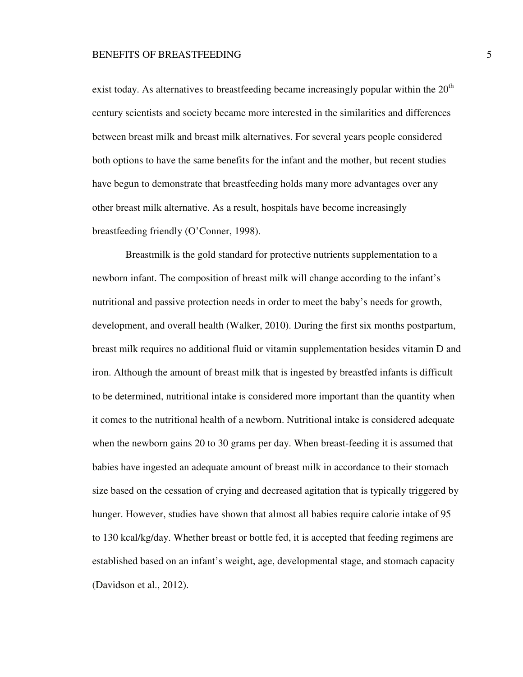exist today. As alternatives to breastfeeding became increasingly popular within the  $20<sup>th</sup>$ century scientists and society became more interested in the similarities and differences between breast milk and breast milk alternatives. For several years people considered both options to have the same benefits for the infant and the mother, but recent studies have begun to demonstrate that breastfeeding holds many more advantages over any other breast milk alternative. As a result, hospitals have become increasingly breastfeeding friendly (O'Conner, 1998).

 Breastmilk is the gold standard for protective nutrients supplementation to a newborn infant. The composition of breast milk will change according to the infant's nutritional and passive protection needs in order to meet the baby's needs for growth, development, and overall health (Walker, 2010). During the first six months postpartum, breast milk requires no additional fluid or vitamin supplementation besides vitamin D and iron. Although the amount of breast milk that is ingested by breastfed infants is difficult to be determined, nutritional intake is considered more important than the quantity when it comes to the nutritional health of a newborn. Nutritional intake is considered adequate when the newborn gains 20 to 30 grams per day. When breast-feeding it is assumed that babies have ingested an adequate amount of breast milk in accordance to their stomach size based on the cessation of crying and decreased agitation that is typically triggered by hunger. However, studies have shown that almost all babies require calorie intake of 95 to 130 kcal/kg/day. Whether breast or bottle fed, it is accepted that feeding regimens are established based on an infant's weight, age, developmental stage, and stomach capacity (Davidson et al., 2012).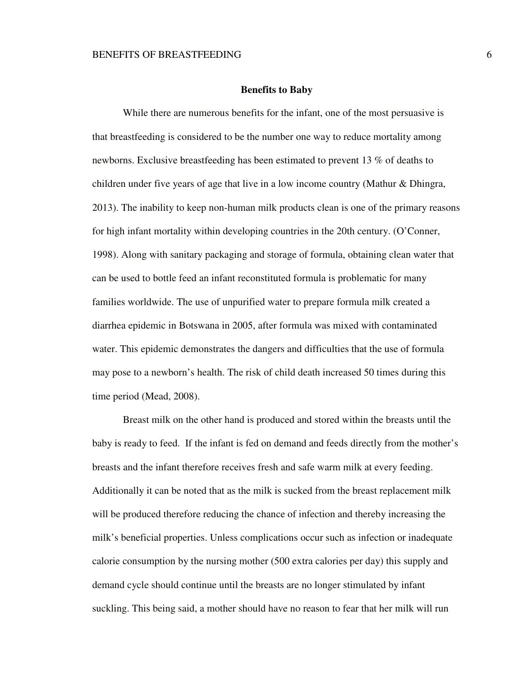## **Benefits to Baby**

 While there are numerous benefits for the infant, one of the most persuasive is that breastfeeding is considered to be the number one way to reduce mortality among newborns. Exclusive breastfeeding has been estimated to prevent 13 % of deaths to children under five years of age that live in a low income country (Mathur & Dhingra, 2013). The inability to keep non-human milk products clean is one of the primary reasons for high infant mortality within developing countries in the 20th century. (O'Conner, 1998). Along with sanitary packaging and storage of formula, obtaining clean water that can be used to bottle feed an infant reconstituted formula is problematic for many families worldwide. The use of unpurified water to prepare formula milk created a diarrhea epidemic in Botswana in 2005, after formula was mixed with contaminated water. This epidemic demonstrates the dangers and difficulties that the use of formula may pose to a newborn's health. The risk of child death increased 50 times during this time period (Mead, 2008).

 Breast milk on the other hand is produced and stored within the breasts until the baby is ready to feed. If the infant is fed on demand and feeds directly from the mother's breasts and the infant therefore receives fresh and safe warm milk at every feeding. Additionally it can be noted that as the milk is sucked from the breast replacement milk will be produced therefore reducing the chance of infection and thereby increasing the milk's beneficial properties. Unless complications occur such as infection or inadequate calorie consumption by the nursing mother (500 extra calories per day) this supply and demand cycle should continue until the breasts are no longer stimulated by infant suckling. This being said, a mother should have no reason to fear that her milk will run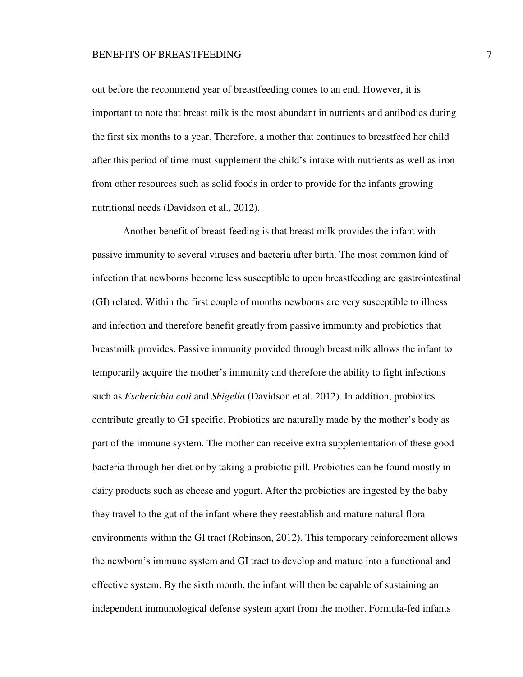out before the recommend year of breastfeeding comes to an end. However, it is important to note that breast milk is the most abundant in nutrients and antibodies during the first six months to a year. Therefore, a mother that continues to breastfeed her child after this period of time must supplement the child's intake with nutrients as well as iron from other resources such as solid foods in order to provide for the infants growing nutritional needs (Davidson et al., 2012).

 Another benefit of breast-feeding is that breast milk provides the infant with passive immunity to several viruses and bacteria after birth. The most common kind of infection that newborns become less susceptible to upon breastfeeding are gastrointestinal (GI) related. Within the first couple of months newborns are very susceptible to illness and infection and therefore benefit greatly from passive immunity and probiotics that breastmilk provides. Passive immunity provided through breastmilk allows the infant to temporarily acquire the mother's immunity and therefore the ability to fight infections such as *Escherichia coli* and *Shigella* (Davidson et al. 2012). In addition, probiotics contribute greatly to GI specific. Probiotics are naturally made by the mother's body as part of the immune system. The mother can receive extra supplementation of these good bacteria through her diet or by taking a probiotic pill. Probiotics can be found mostly in dairy products such as cheese and yogurt. After the probiotics are ingested by the baby they travel to the gut of the infant where they reestablish and mature natural flora environments within the GI tract (Robinson, 2012). This temporary reinforcement allows the newborn's immune system and GI tract to develop and mature into a functional and effective system. By the sixth month, the infant will then be capable of sustaining an independent immunological defense system apart from the mother. Formula-fed infants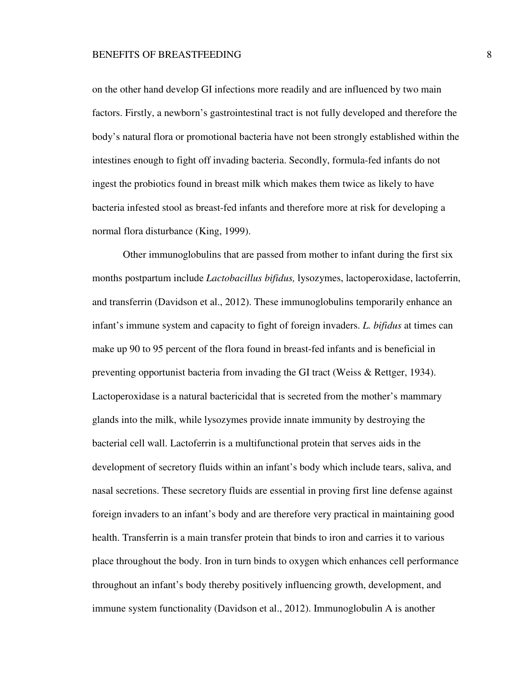on the other hand develop GI infections more readily and are influenced by two main factors. Firstly, a newborn's gastrointestinal tract is not fully developed and therefore the body's natural flora or promotional bacteria have not been strongly established within the intestines enough to fight off invading bacteria. Secondly, formula-fed infants do not ingest the probiotics found in breast milk which makes them twice as likely to have bacteria infested stool as breast-fed infants and therefore more at risk for developing a normal flora disturbance (King, 1999).

 Other immunoglobulins that are passed from mother to infant during the first six months postpartum include *Lactobacillus bifidus,* lysozymes, lactoperoxidase, lactoferrin, and transferrin (Davidson et al., 2012). These immunoglobulins temporarily enhance an infant's immune system and capacity to fight of foreign invaders. *L. bifidus* at times can make up 90 to 95 percent of the flora found in breast-fed infants and is beneficial in preventing opportunist bacteria from invading the GI tract (Weiss & Rettger, 1934). Lactoperoxidase is a natural bactericidal that is secreted from the mother's mammary glands into the milk, while lysozymes provide innate immunity by destroying the bacterial cell wall. Lactoferrin is a multifunctional protein that serves aids in the development of secretory fluids within an infant's body which include tears, saliva, and nasal secretions. These secretory fluids are essential in proving first line defense against foreign invaders to an infant's body and are therefore very practical in maintaining good health. Transferrin is a main transfer protein that binds to iron and carries it to various place throughout the body. Iron in turn binds to oxygen which enhances cell performance throughout an infant's body thereby positively influencing growth, development, and immune system functionality (Davidson et al., 2012). Immunoglobulin A is another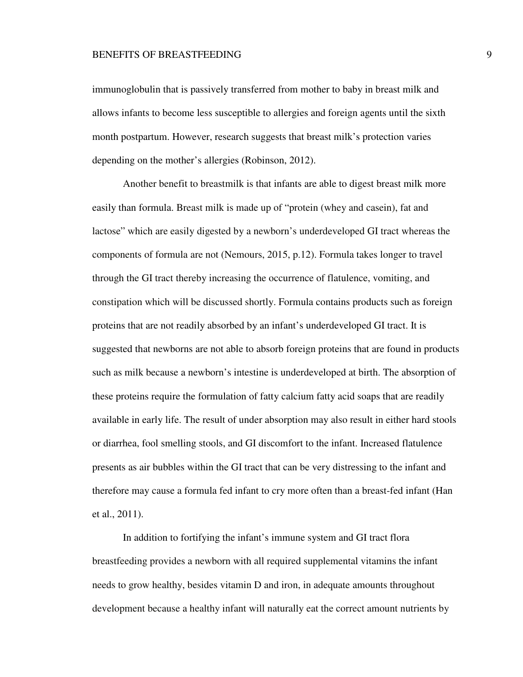immunoglobulin that is passively transferred from mother to baby in breast milk and allows infants to become less susceptible to allergies and foreign agents until the sixth month postpartum. However, research suggests that breast milk's protection varies depending on the mother's allergies (Robinson, 2012).

 Another benefit to breastmilk is that infants are able to digest breast milk more easily than formula. Breast milk is made up of "protein (whey and casein), fat and lactose" which are easily digested by a newborn's underdeveloped GI tract whereas the components of formula are not (Nemours, 2015, p.12). Formula takes longer to travel through the GI tract thereby increasing the occurrence of flatulence, vomiting, and constipation which will be discussed shortly. Formula contains products such as foreign proteins that are not readily absorbed by an infant's underdeveloped GI tract. It is suggested that newborns are not able to absorb foreign proteins that are found in products such as milk because a newborn's intestine is underdeveloped at birth. The absorption of these proteins require the formulation of fatty calcium fatty acid soaps that are readily available in early life. The result of under absorption may also result in either hard stools or diarrhea, fool smelling stools, and GI discomfort to the infant. Increased flatulence presents as air bubbles within the GI tract that can be very distressing to the infant and therefore may cause a formula fed infant to cry more often than a breast-fed infant (Han et al., 2011).

 In addition to fortifying the infant's immune system and GI tract flora breastfeeding provides a newborn with all required supplemental vitamins the infant needs to grow healthy, besides vitamin D and iron, in adequate amounts throughout development because a healthy infant will naturally eat the correct amount nutrients by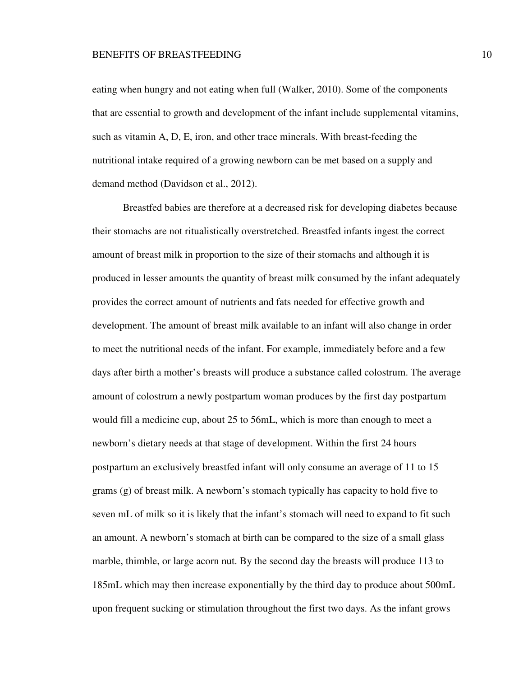eating when hungry and not eating when full (Walker, 2010). Some of the components that are essential to growth and development of the infant include supplemental vitamins, such as vitamin A, D, E, iron, and other trace minerals. With breast-feeding the nutritional intake required of a growing newborn can be met based on a supply and demand method (Davidson et al., 2012).

 Breastfed babies are therefore at a decreased risk for developing diabetes because their stomachs are not ritualistically overstretched. Breastfed infants ingest the correct amount of breast milk in proportion to the size of their stomachs and although it is produced in lesser amounts the quantity of breast milk consumed by the infant adequately provides the correct amount of nutrients and fats needed for effective growth and development. The amount of breast milk available to an infant will also change in order to meet the nutritional needs of the infant. For example, immediately before and a few days after birth a mother's breasts will produce a substance called colostrum. The average amount of colostrum a newly postpartum woman produces by the first day postpartum would fill a medicine cup, about 25 to 56mL, which is more than enough to meet a newborn's dietary needs at that stage of development. Within the first 24 hours postpartum an exclusively breastfed infant will only consume an average of 11 to 15 grams (g) of breast milk. A newborn's stomach typically has capacity to hold five to seven mL of milk so it is likely that the infant's stomach will need to expand to fit such an amount. A newborn's stomach at birth can be compared to the size of a small glass marble, thimble, or large acorn nut. By the second day the breasts will produce 113 to 185mL which may then increase exponentially by the third day to produce about 500mL upon frequent sucking or stimulation throughout the first two days. As the infant grows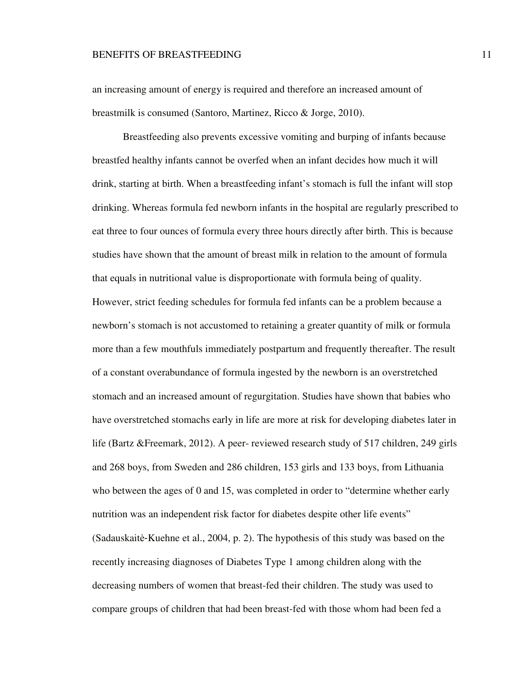an increasing amount of energy is required and therefore an increased amount of breastmilk is consumed (Santoro, Martinez, Ricco & Jorge, 2010).

 Breastfeeding also prevents excessive vomiting and burping of infants because breastfed healthy infants cannot be overfed when an infant decides how much it will drink, starting at birth. When a breastfeeding infant's stomach is full the infant will stop drinking. Whereas formula fed newborn infants in the hospital are regularly prescribed to eat three to four ounces of formula every three hours directly after birth. This is because studies have shown that the amount of breast milk in relation to the amount of formula that equals in nutritional value is disproportionate with formula being of quality. However, strict feeding schedules for formula fed infants can be a problem because a newborn's stomach is not accustomed to retaining a greater quantity of milk or formula more than a few mouthfuls immediately postpartum and frequently thereafter. The result of a constant overabundance of formula ingested by the newborn is an overstretched stomach and an increased amount of regurgitation. Studies have shown that babies who have overstretched stomachs early in life are more at risk for developing diabetes later in life (Bartz &Freemark, 2012). A peer- reviewed research study of 517 children, 249 girls and 268 boys, from Sweden and 286 children, 153 girls and 133 boys, from Lithuania who between the ages of 0 and 15, was completed in order to "determine whether early nutrition was an independent risk factor for diabetes despite other life events" (Sadauskaitė-Kuehne et al., 2004, p. 2). The hypothesis of this study was based on the recently increasing diagnoses of Diabetes Type 1 among children along with the decreasing numbers of women that breast-fed their children. The study was used to compare groups of children that had been breast-fed with those whom had been fed a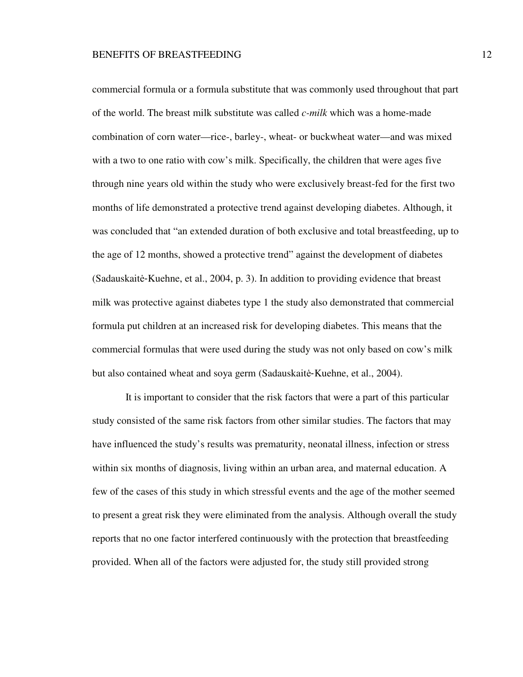commercial formula or a formula substitute that was commonly used throughout that part of the world. The breast milk substitute was called *c-milk* which was a home-made combination of corn water—rice-, barley-, wheat- or buckwheat water—and was mixed with a two to one ratio with cow's milk. Specifically, the children that were ages five through nine years old within the study who were exclusively breast-fed for the first two months of life demonstrated a protective trend against developing diabetes. Although, it was concluded that "an extended duration of both exclusive and total breastfeeding, up to the age of 12 months, showed a protective trend" against the development of diabetes  $(Sadauskaitè-Kuehne, et al., 2004, p. 3)$ . In addition to providing evidence that breast milk was protective against diabetes type 1 the study also demonstrated that commercial formula put children at an increased risk for developing diabetes. This means that the commercial formulas that were used during the study was not only based on cow's milk but also contained wheat and soya germ (Sadauskaitė-Kuehne, et al., 2004).

 It is important to consider that the risk factors that were a part of this particular study consisted of the same risk factors from other similar studies. The factors that may have influenced the study's results was prematurity, neonatal illness, infection or stress within six months of diagnosis, living within an urban area, and maternal education. A few of the cases of this study in which stressful events and the age of the mother seemed to present a great risk they were eliminated from the analysis. Although overall the study reports that no one factor interfered continuously with the protection that breastfeeding provided. When all of the factors were adjusted for, the study still provided strong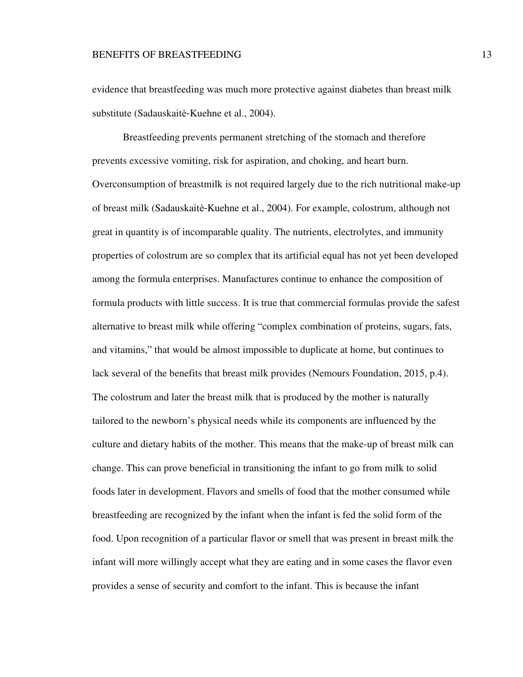evidence that breastfeeding was much more protective against diabetes than breast milk substitute (Sadauskaitė-Kuehne et al., 2004).

 Breastfeeding prevents permanent stretching of the stomach and therefore prevents excessive vomiting, risk for aspiration, and choking, and heart burn. Overconsumption of breastmilk is not required largely due to the rich nutritional make-up of breast milk (Sadauskaitė-Kuehne et al., 2004). For example, colostrum, although not great in quantity is of incomparable quality. The nutrients, electrolytes, and immunity properties of colostrum are so complex that its artificial equal has not yet been developed among the formula enterprises. Manufactures continue to enhance the composition of formula products with little success. It is true that commercial formulas provide the safest alternative to breast milk while offering "complex combination of proteins, sugars, fats, and vitamins," that would be almost impossible to duplicate at home, but continues to lack several of the benefits that breast milk provides (Nemours Foundation, 2015, p.4). The colostrum and later the breast milk that is produced by the mother is naturally tailored to the newborn's physical needs while its components are influenced by the culture and dietary habits of the mother. This means that the make-up of breast milk can change. This can prove beneficial in transitioning the infant to go from milk to solid foods later in development. Flavors and smells of food that the mother consumed while breastfeeding are recognized by the infant when the infant is fed the solid form of the food. Upon recognition of a particular flavor or smell that was present in breast milk the infant will more willingly accept what they are eating and in some cases the flavor even provides a sense of security and comfort to the infant. This is because the infant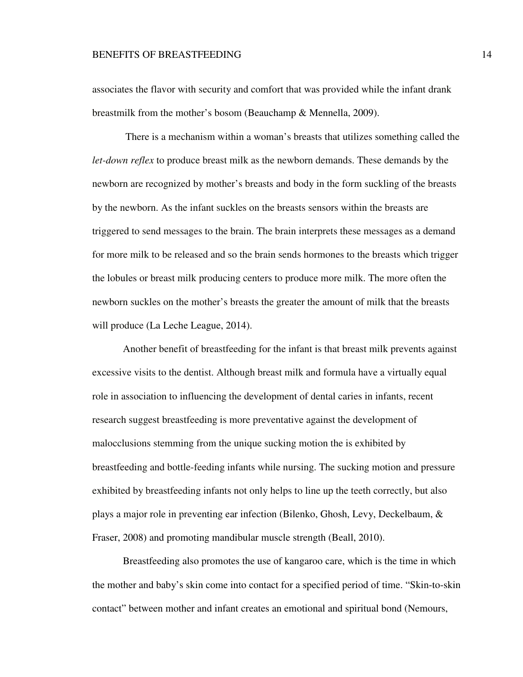associates the flavor with security and comfort that was provided while the infant drank breastmilk from the mother's bosom (Beauchamp & Mennella, 2009).

 There is a mechanism within a woman's breasts that utilizes something called the *let-down reflex* to produce breast milk as the newborn demands. These demands by the newborn are recognized by mother's breasts and body in the form suckling of the breasts by the newborn. As the infant suckles on the breasts sensors within the breasts are triggered to send messages to the brain. The brain interprets these messages as a demand for more milk to be released and so the brain sends hormones to the breasts which trigger the lobules or breast milk producing centers to produce more milk. The more often the newborn suckles on the mother's breasts the greater the amount of milk that the breasts will produce (La Leche League, 2014).

 Another benefit of breastfeeding for the infant is that breast milk prevents against excessive visits to the dentist. Although breast milk and formula have a virtually equal role in association to influencing the development of dental caries in infants, recent research suggest breastfeeding is more preventative against the development of malocclusions stemming from the unique sucking motion the is exhibited by breastfeeding and bottle-feeding infants while nursing. The sucking motion and pressure exhibited by breastfeeding infants not only helps to line up the teeth correctly, but also plays a major role in preventing ear infection (Bilenko, Ghosh, Levy, Deckelbaum, & Fraser, 2008) and promoting mandibular muscle strength (Beall, 2010).

 Breastfeeding also promotes the use of kangaroo care, which is the time in which the mother and baby's skin come into contact for a specified period of time. "Skin-to-skin contact" between mother and infant creates an emotional and spiritual bond (Nemours,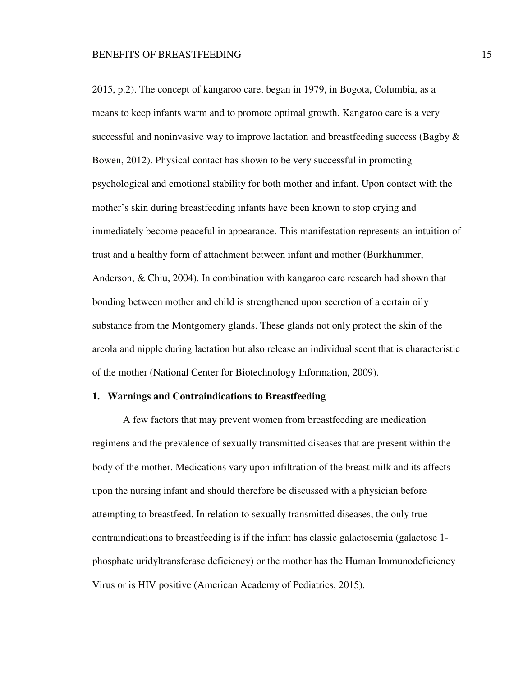2015, p.2). The concept of kangaroo care, began in 1979, in Bogota, Columbia, as a means to keep infants warm and to promote optimal growth. Kangaroo care is a very successful and noninvasive way to improve lactation and breastfeeding success (Bagby & Bowen, 2012). Physical contact has shown to be very successful in promoting psychological and emotional stability for both mother and infant. Upon contact with the mother's skin during breastfeeding infants have been known to stop crying and immediately become peaceful in appearance. This manifestation represents an intuition of trust and a healthy form of attachment between infant and mother (Burkhammer, Anderson, & Chiu, 2004). In combination with kangaroo care research had shown that bonding between mother and child is strengthened upon secretion of a certain oily substance from the Montgomery glands. These glands not only protect the skin of the areola and nipple during lactation but also release an individual scent that is characteristic of the mother (National Center for Biotechnology Information, 2009).

## **1. Warnings and Contraindications to Breastfeeding**

 A few factors that may prevent women from breastfeeding are medication regimens and the prevalence of sexually transmitted diseases that are present within the body of the mother. Medications vary upon infiltration of the breast milk and its affects upon the nursing infant and should therefore be discussed with a physician before attempting to breastfeed. In relation to sexually transmitted diseases, the only true contraindications to breastfeeding is if the infant has classic galactosemia (galactose 1 phosphate uridyltransferase deficiency) or the mother has the Human Immunodeficiency Virus or is HIV positive (American Academy of Pediatrics, 2015).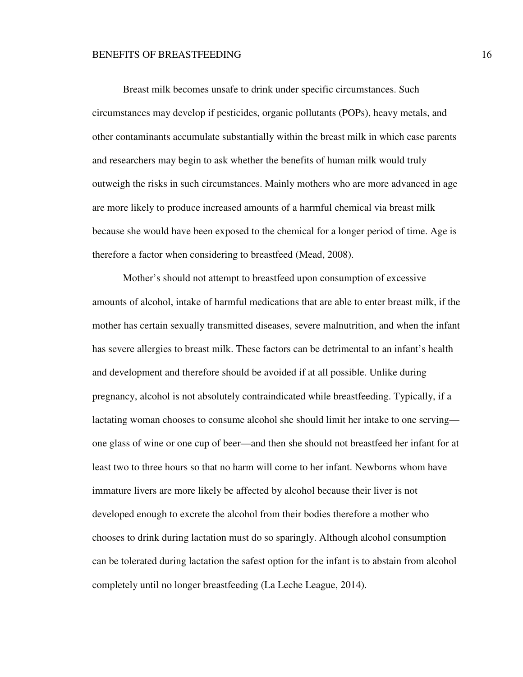Breast milk becomes unsafe to drink under specific circumstances. Such circumstances may develop if pesticides, organic pollutants (POPs), heavy metals, and other contaminants accumulate substantially within the breast milk in which case parents and researchers may begin to ask whether the benefits of human milk would truly outweigh the risks in such circumstances. Mainly mothers who are more advanced in age are more likely to produce increased amounts of a harmful chemical via breast milk because she would have been exposed to the chemical for a longer period of time. Age is therefore a factor when considering to breastfeed (Mead, 2008).

 Mother's should not attempt to breastfeed upon consumption of excessive amounts of alcohol, intake of harmful medications that are able to enter breast milk, if the mother has certain sexually transmitted diseases, severe malnutrition, and when the infant has severe allergies to breast milk. These factors can be detrimental to an infant's health and development and therefore should be avoided if at all possible. Unlike during pregnancy, alcohol is not absolutely contraindicated while breastfeeding. Typically, if a lactating woman chooses to consume alcohol she should limit her intake to one serving one glass of wine or one cup of beer—and then she should not breastfeed her infant for at least two to three hours so that no harm will come to her infant. Newborns whom have immature livers are more likely be affected by alcohol because their liver is not developed enough to excrete the alcohol from their bodies therefore a mother who chooses to drink during lactation must do so sparingly. Although alcohol consumption can be tolerated during lactation the safest option for the infant is to abstain from alcohol completely until no longer breastfeeding (La Leche League, 2014).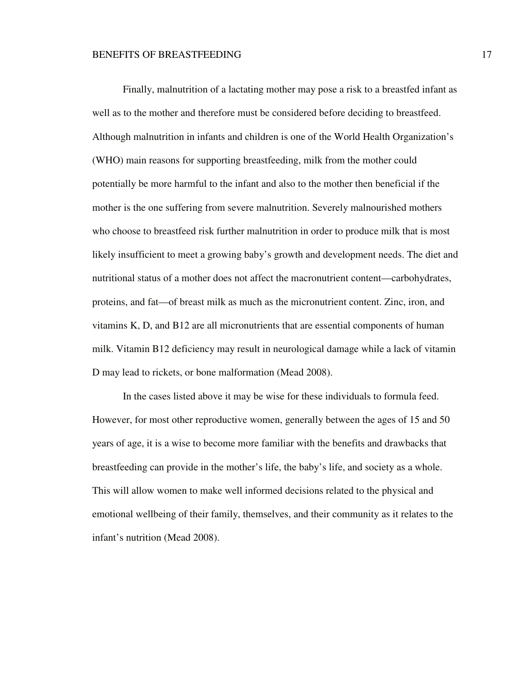Finally, malnutrition of a lactating mother may pose a risk to a breastfed infant as well as to the mother and therefore must be considered before deciding to breastfeed. Although malnutrition in infants and children is one of the World Health Organization's (WHO) main reasons for supporting breastfeeding, milk from the mother could potentially be more harmful to the infant and also to the mother then beneficial if the mother is the one suffering from severe malnutrition. Severely malnourished mothers who choose to breastfeed risk further malnutrition in order to produce milk that is most likely insufficient to meet a growing baby's growth and development needs. The diet and nutritional status of a mother does not affect the macronutrient content—carbohydrates, proteins, and fat—of breast milk as much as the micronutrient content. Zinc, iron, and vitamins K, D, and B12 are all micronutrients that are essential components of human milk. Vitamin B12 deficiency may result in neurological damage while a lack of vitamin D may lead to rickets, or bone malformation (Mead 2008).

 In the cases listed above it may be wise for these individuals to formula feed. However, for most other reproductive women, generally between the ages of 15 and 50 years of age, it is a wise to become more familiar with the benefits and drawbacks that breastfeeding can provide in the mother's life, the baby's life, and society as a whole. This will allow women to make well informed decisions related to the physical and emotional wellbeing of their family, themselves, and their community as it relates to the infant's nutrition (Mead 2008).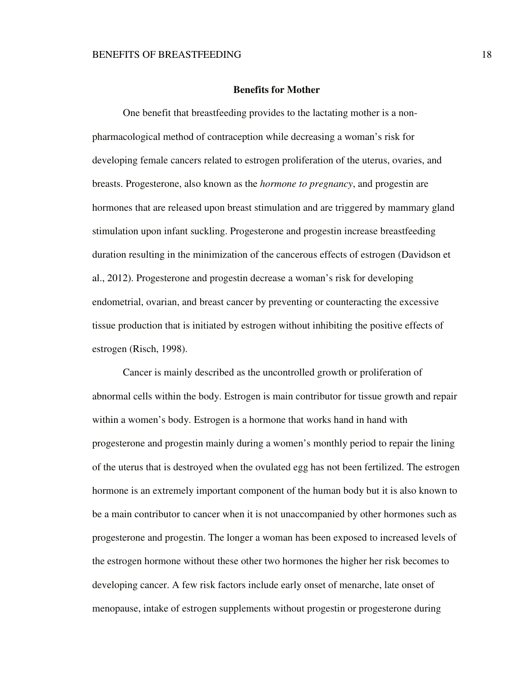## **Benefits for Mother**

 One benefit that breastfeeding provides to the lactating mother is a nonpharmacological method of contraception while decreasing a woman's risk for developing female cancers related to estrogen proliferation of the uterus, ovaries, and breasts. Progesterone, also known as the *hormone to pregnancy*, and progestin are hormones that are released upon breast stimulation and are triggered by mammary gland stimulation upon infant suckling. Progesterone and progestin increase breastfeeding duration resulting in the minimization of the cancerous effects of estrogen (Davidson et al., 2012). Progesterone and progestin decrease a woman's risk for developing endometrial, ovarian, and breast cancer by preventing or counteracting the excessive tissue production that is initiated by estrogen without inhibiting the positive effects of estrogen (Risch, 1998).

 Cancer is mainly described as the uncontrolled growth or proliferation of abnormal cells within the body. Estrogen is main contributor for tissue growth and repair within a women's body. Estrogen is a hormone that works hand in hand with progesterone and progestin mainly during a women's monthly period to repair the lining of the uterus that is destroyed when the ovulated egg has not been fertilized. The estrogen hormone is an extremely important component of the human body but it is also known to be a main contributor to cancer when it is not unaccompanied by other hormones such as progesterone and progestin. The longer a woman has been exposed to increased levels of the estrogen hormone without these other two hormones the higher her risk becomes to developing cancer. A few risk factors include early onset of menarche, late onset of menopause, intake of estrogen supplements without progestin or progesterone during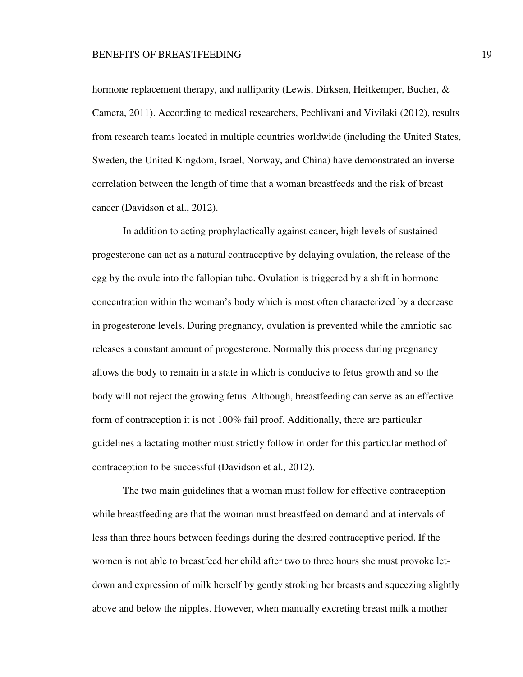hormone replacement therapy, and nulliparity (Lewis, Dirksen, Heitkemper, Bucher, & Camera, 2011). According to medical researchers, Pechlivani and Vivilaki (2012), results from research teams located in multiple countries worldwide (including the United States, Sweden, the United Kingdom, Israel, Norway, and China) have demonstrated an inverse correlation between the length of time that a woman breastfeeds and the risk of breast cancer (Davidson et al., 2012).

 In addition to acting prophylactically against cancer, high levels of sustained progesterone can act as a natural contraceptive by delaying ovulation, the release of the egg by the ovule into the fallopian tube. Ovulation is triggered by a shift in hormone concentration within the woman's body which is most often characterized by a decrease in progesterone levels. During pregnancy, ovulation is prevented while the amniotic sac releases a constant amount of progesterone. Normally this process during pregnancy allows the body to remain in a state in which is conducive to fetus growth and so the body will not reject the growing fetus. Although, breastfeeding can serve as an effective form of contraception it is not 100% fail proof. Additionally, there are particular guidelines a lactating mother must strictly follow in order for this particular method of contraception to be successful (Davidson et al., 2012).

The two main guidelines that a woman must follow for effective contraception while breastfeeding are that the woman must breastfeed on demand and at intervals of less than three hours between feedings during the desired contraceptive period. If the women is not able to breastfeed her child after two to three hours she must provoke letdown and expression of milk herself by gently stroking her breasts and squeezing slightly above and below the nipples. However, when manually excreting breast milk a mother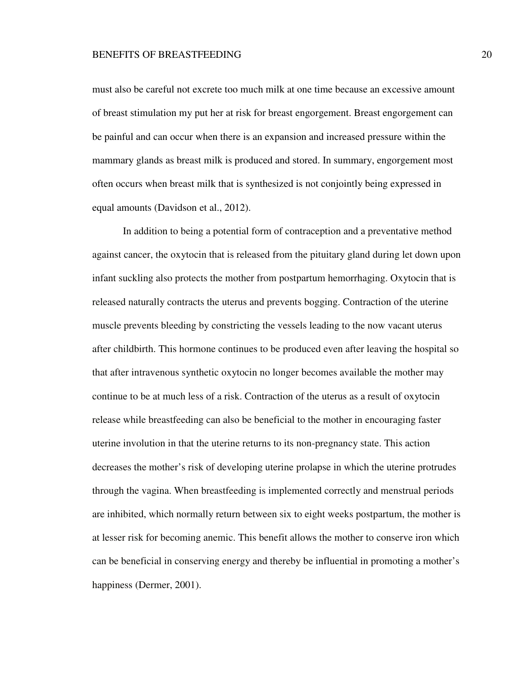must also be careful not excrete too much milk at one time because an excessive amount of breast stimulation my put her at risk for breast engorgement. Breast engorgement can be painful and can occur when there is an expansion and increased pressure within the mammary glands as breast milk is produced and stored. In summary, engorgement most often occurs when breast milk that is synthesized is not conjointly being expressed in equal amounts (Davidson et al., 2012).

 In addition to being a potential form of contraception and a preventative method against cancer, the oxytocin that is released from the pituitary gland during let down upon infant suckling also protects the mother from postpartum hemorrhaging. Oxytocin that is released naturally contracts the uterus and prevents bogging. Contraction of the uterine muscle prevents bleeding by constricting the vessels leading to the now vacant uterus after childbirth. This hormone continues to be produced even after leaving the hospital so that after intravenous synthetic oxytocin no longer becomes available the mother may continue to be at much less of a risk. Contraction of the uterus as a result of oxytocin release while breastfeeding can also be beneficial to the mother in encouraging faster uterine involution in that the uterine returns to its non-pregnancy state. This action decreases the mother's risk of developing uterine prolapse in which the uterine protrudes through the vagina. When breastfeeding is implemented correctly and menstrual periods are inhibited, which normally return between six to eight weeks postpartum, the mother is at lesser risk for becoming anemic. This benefit allows the mother to conserve iron which can be beneficial in conserving energy and thereby be influential in promoting a mother's happiness (Dermer, 2001).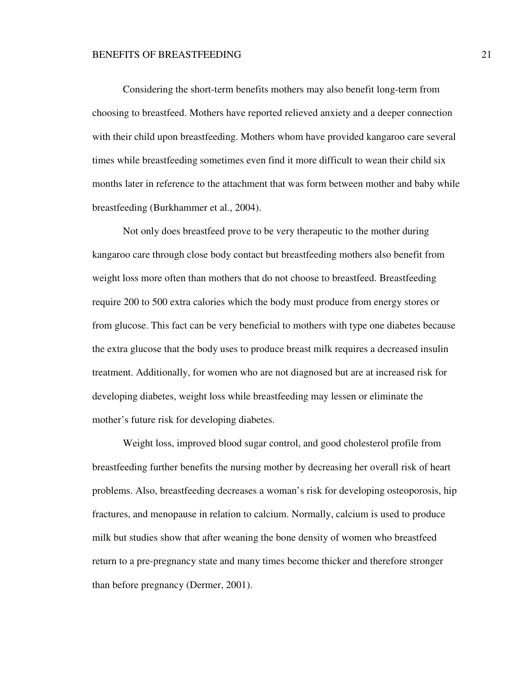Considering the short-term benefits mothers may also benefit long-term from choosing to breastfeed. Mothers have reported relieved anxiety and a deeper connection with their child upon breastfeeding. Mothers whom have provided kangaroo care several times while breastfeeding sometimes even find it more difficult to wean their child six months later in reference to the attachment that was form between mother and baby while breastfeeding (Burkhammer et al., 2004).

 Not only does breastfeed prove to be very therapeutic to the mother during kangaroo care through close body contact but breastfeeding mothers also benefit from weight loss more often than mothers that do not choose to breastfeed. Breastfeeding require 200 to 500 extra calories which the body must produce from energy stores or from glucose. This fact can be very beneficial to mothers with type one diabetes because the extra glucose that the body uses to produce breast milk requires a decreased insulin treatment. Additionally, for women who are not diagnosed but are at increased risk for developing diabetes, weight loss while breastfeeding may lessen or eliminate the mother's future risk for developing diabetes.

 Weight loss, improved blood sugar control, and good cholesterol profile from breastfeeding further benefits the nursing mother by decreasing her overall risk of heart problems. Also, breastfeeding decreases a woman's risk for developing osteoporosis, hip fractures, and menopause in relation to calcium. Normally, calcium is used to produce milk but studies show that after weaning the bone density of women who breastfeed return to a pre-pregnancy state and many times become thicker and therefore stronger than before pregnancy (Dermer, 2001).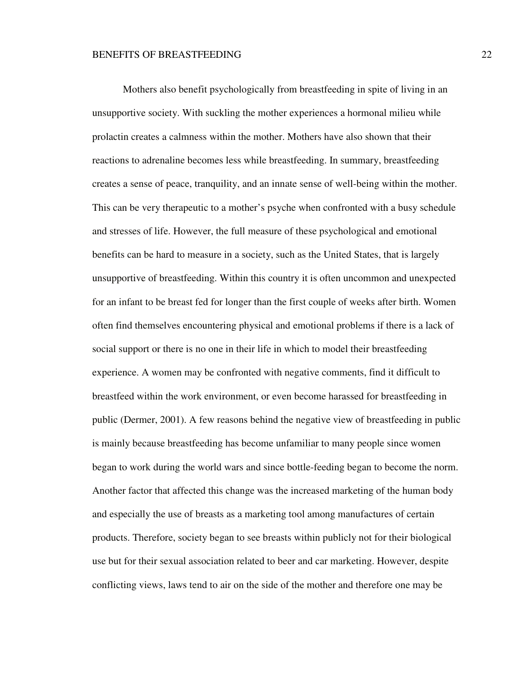Mothers also benefit psychologically from breastfeeding in spite of living in an unsupportive society. With suckling the mother experiences a hormonal milieu while prolactin creates a calmness within the mother. Mothers have also shown that their reactions to adrenaline becomes less while breastfeeding. In summary, breastfeeding creates a sense of peace, tranquility, and an innate sense of well-being within the mother. This can be very therapeutic to a mother's psyche when confronted with a busy schedule and stresses of life. However, the full measure of these psychological and emotional benefits can be hard to measure in a society, such as the United States, that is largely unsupportive of breastfeeding. Within this country it is often uncommon and unexpected for an infant to be breast fed for longer than the first couple of weeks after birth. Women often find themselves encountering physical and emotional problems if there is a lack of social support or there is no one in their life in which to model their breastfeeding experience. A women may be confronted with negative comments, find it difficult to breastfeed within the work environment, or even become harassed for breastfeeding in public (Dermer, 2001). A few reasons behind the negative view of breastfeeding in public is mainly because breastfeeding has become unfamiliar to many people since women began to work during the world wars and since bottle-feeding began to become the norm. Another factor that affected this change was the increased marketing of the human body and especially the use of breasts as a marketing tool among manufactures of certain products. Therefore, society began to see breasts within publicly not for their biological use but for their sexual association related to beer and car marketing. However, despite conflicting views, laws tend to air on the side of the mother and therefore one may be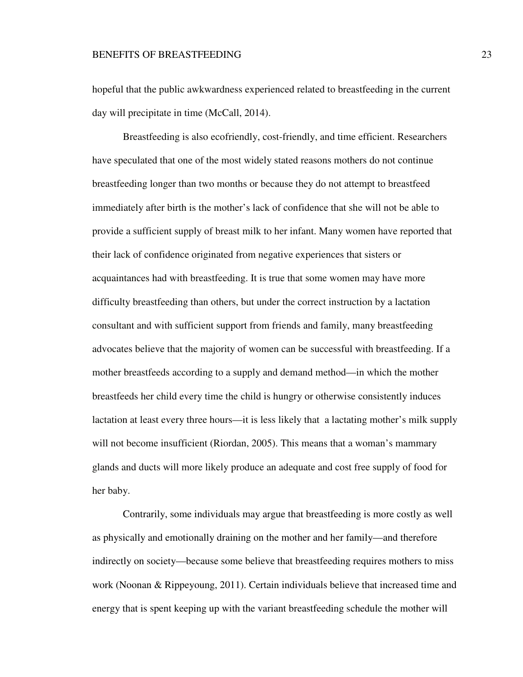hopeful that the public awkwardness experienced related to breastfeeding in the current day will precipitate in time (McCall, 2014).

 Breastfeeding is also ecofriendly, cost-friendly, and time efficient. Researchers have speculated that one of the most widely stated reasons mothers do not continue breastfeeding longer than two months or because they do not attempt to breastfeed immediately after birth is the mother's lack of confidence that she will not be able to provide a sufficient supply of breast milk to her infant. Many women have reported that their lack of confidence originated from negative experiences that sisters or acquaintances had with breastfeeding. It is true that some women may have more difficulty breastfeeding than others, but under the correct instruction by a lactation consultant and with sufficient support from friends and family, many breastfeeding advocates believe that the majority of women can be successful with breastfeeding. If a mother breastfeeds according to a supply and demand method—in which the mother breastfeeds her child every time the child is hungry or otherwise consistently induces lactation at least every three hours—it is less likely that a lactating mother's milk supply will not become insufficient (Riordan, 2005). This means that a woman's mammary glands and ducts will more likely produce an adequate and cost free supply of food for her baby.

 Contrarily, some individuals may argue that breastfeeding is more costly as well as physically and emotionally draining on the mother and her family—and therefore indirectly on society—because some believe that breastfeeding requires mothers to miss work (Noonan & Rippeyoung, 2011). Certain individuals believe that increased time and energy that is spent keeping up with the variant breastfeeding schedule the mother will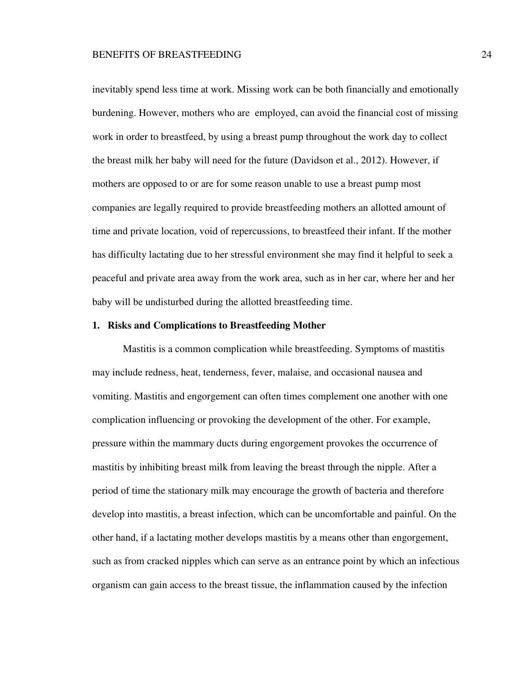inevitably spend less time at work. Missing work can be both financially and emotionally burdening. However, mothers who are employed, can avoid the financial cost of missing work in order to breastfeed, by using a breast pump throughout the work day to collect the breast milk her baby will need for the future (Davidson et al., 2012). However, if mothers are opposed to or are for some reason unable to use a breast pump most companies are legally required to provide breastfeeding mothers an allotted amount of time and private location, void of repercussions, to breastfeed their infant. If the mother has difficulty lactating due to her stressful environment she may find it helpful to seek a peaceful and private area away from the work area, such as in her car, where her and her baby will be undisturbed during the allotted breastfeeding time.

## **1. Risks and Complications to Breastfeeding Mother**

 Mastitis is a common complication while breastfeeding. Symptoms of mastitis may include redness, heat, tenderness, fever, malaise, and occasional nausea and vomiting. Mastitis and engorgement can often times complement one another with one complication influencing or provoking the development of the other. For example, pressure within the mammary ducts during engorgement provokes the occurrence of mastitis by inhibiting breast milk from leaving the breast through the nipple. After a period of time the stationary milk may encourage the growth of bacteria and therefore develop into mastitis, a breast infection, which can be uncomfortable and painful. On the other hand, if a lactating mother develops mastitis by a means other than engorgement, such as from cracked nipples which can serve as an entrance point by which an infectious organism can gain access to the breast tissue, the inflammation caused by the infection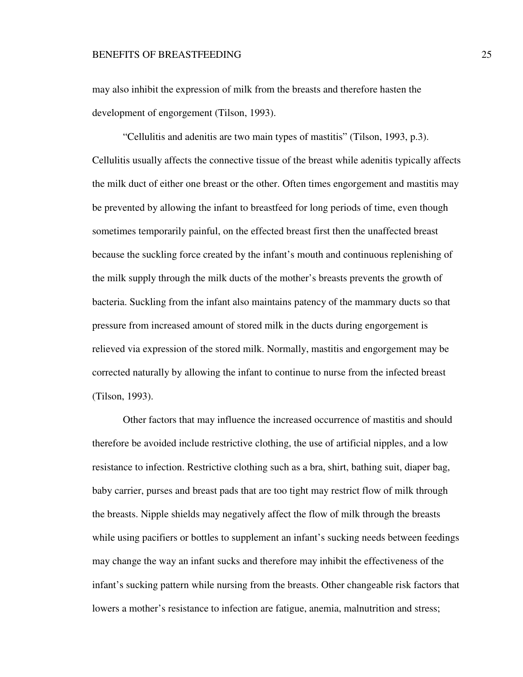may also inhibit the expression of milk from the breasts and therefore hasten the development of engorgement (Tilson, 1993).

 "Cellulitis and adenitis are two main types of mastitis" (Tilson, 1993, p.3). Cellulitis usually affects the connective tissue of the breast while adenitis typically affects the milk duct of either one breast or the other. Often times engorgement and mastitis may be prevented by allowing the infant to breastfeed for long periods of time, even though sometimes temporarily painful, on the effected breast first then the unaffected breast because the suckling force created by the infant's mouth and continuous replenishing of the milk supply through the milk ducts of the mother's breasts prevents the growth of bacteria. Suckling from the infant also maintains patency of the mammary ducts so that pressure from increased amount of stored milk in the ducts during engorgement is relieved via expression of the stored milk. Normally, mastitis and engorgement may be corrected naturally by allowing the infant to continue to nurse from the infected breast (Tilson, 1993).

 Other factors that may influence the increased occurrence of mastitis and should therefore be avoided include restrictive clothing, the use of artificial nipples, and a low resistance to infection. Restrictive clothing such as a bra, shirt, bathing suit, diaper bag, baby carrier, purses and breast pads that are too tight may restrict flow of milk through the breasts. Nipple shields may negatively affect the flow of milk through the breasts while using pacifiers or bottles to supplement an infant's sucking needs between feedings may change the way an infant sucks and therefore may inhibit the effectiveness of the infant's sucking pattern while nursing from the breasts. Other changeable risk factors that lowers a mother's resistance to infection are fatigue, anemia, malnutrition and stress;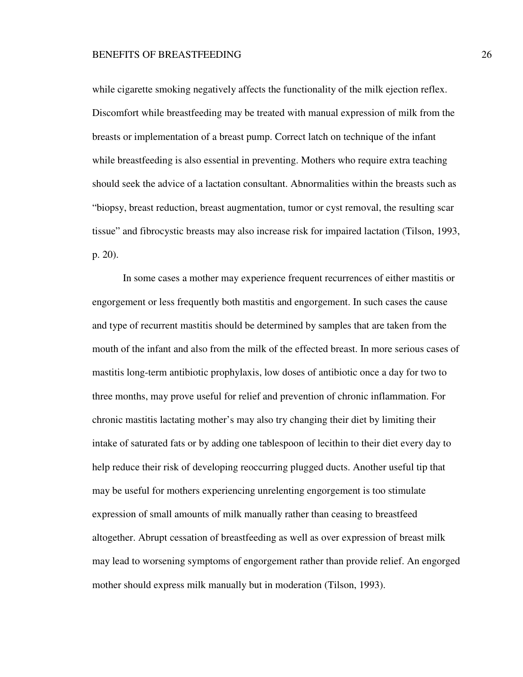while cigarette smoking negatively affects the functionality of the milk ejection reflex. Discomfort while breastfeeding may be treated with manual expression of milk from the breasts or implementation of a breast pump. Correct latch on technique of the infant while breastfeeding is also essential in preventing. Mothers who require extra teaching should seek the advice of a lactation consultant. Abnormalities within the breasts such as "biopsy, breast reduction, breast augmentation, tumor or cyst removal, the resulting scar tissue" and fibrocystic breasts may also increase risk for impaired lactation (Tilson, 1993, p. 20).

 In some cases a mother may experience frequent recurrences of either mastitis or engorgement or less frequently both mastitis and engorgement. In such cases the cause and type of recurrent mastitis should be determined by samples that are taken from the mouth of the infant and also from the milk of the effected breast. In more serious cases of mastitis long-term antibiotic prophylaxis, low doses of antibiotic once a day for two to three months, may prove useful for relief and prevention of chronic inflammation. For chronic mastitis lactating mother's may also try changing their diet by limiting their intake of saturated fats or by adding one tablespoon of lecithin to their diet every day to help reduce their risk of developing reoccurring plugged ducts. Another useful tip that may be useful for mothers experiencing unrelenting engorgement is too stimulate expression of small amounts of milk manually rather than ceasing to breastfeed altogether. Abrupt cessation of breastfeeding as well as over expression of breast milk may lead to worsening symptoms of engorgement rather than provide relief. An engorged mother should express milk manually but in moderation (Tilson, 1993).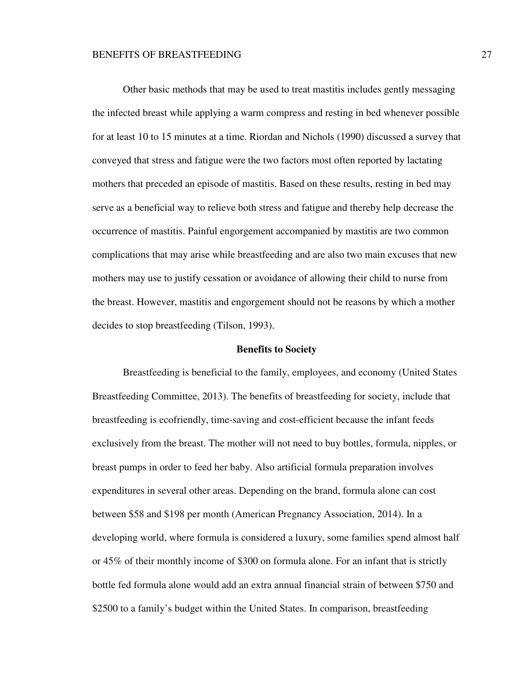Other basic methods that may be used to treat mastitis includes gently messaging the infected breast while applying a warm compress and resting in bed whenever possible for at least 10 to 15 minutes at a time. Riordan and Nichols (1990) discussed a survey that conveyed that stress and fatigue were the two factors most often reported by lactating mothers that preceded an episode of mastitis. Based on these results, resting in bed may serve as a beneficial way to relieve both stress and fatigue and thereby help decrease the occurrence of mastitis. Painful engorgement accompanied by mastitis are two common complications that may arise while breastfeeding and are also two main excuses that new mothers may use to justify cessation or avoidance of allowing their child to nurse from the breast. However, mastitis and engorgement should not be reasons by which a mother decides to stop breastfeeding (Tilson, 1993).

## **Benefits to Society**

 Breastfeeding is beneficial to the family, employees, and economy (United States Breastfeeding Committee, 2013). The benefits of breastfeeding for society, include that breastfeeding is ecofriendly, time-saving and cost-efficient because the infant feeds exclusively from the breast. The mother will not need to buy bottles, formula, nipples, or breast pumps in order to feed her baby. Also artificial formula preparation involves expenditures in several other areas. Depending on the brand, formula alone can cost between \$58 and \$198 per month (American Pregnancy Association, 2014). In a developing world, where formula is considered a luxury, some families spend almost half or 45% of their monthly income of \$300 on formula alone. For an infant that is strictly bottle fed formula alone would add an extra annual financial strain of between \$750 and \$2500 to a family's budget within the United States. In comparison, breastfeeding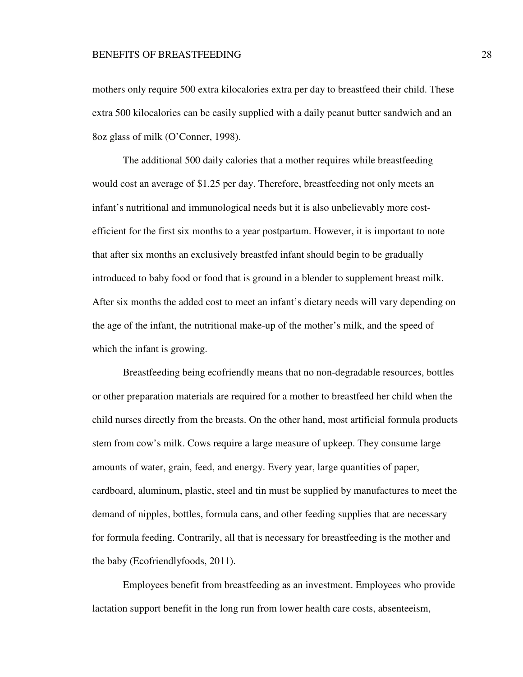mothers only require 500 extra kilocalories extra per day to breastfeed their child. These extra 500 kilocalories can be easily supplied with a daily peanut butter sandwich and an 8oz glass of milk (O'Conner, 1998).

 The additional 500 daily calories that a mother requires while breastfeeding would cost an average of \$1.25 per day. Therefore, breastfeeding not only meets an infant's nutritional and immunological needs but it is also unbelievably more costefficient for the first six months to a year postpartum. However, it is important to note that after six months an exclusively breastfed infant should begin to be gradually introduced to baby food or food that is ground in a blender to supplement breast milk. After six months the added cost to meet an infant's dietary needs will vary depending on the age of the infant, the nutritional make-up of the mother's milk, and the speed of which the infant is growing.

 Breastfeeding being ecofriendly means that no non-degradable resources, bottles or other preparation materials are required for a mother to breastfeed her child when the child nurses directly from the breasts. On the other hand, most artificial formula products stem from cow's milk. Cows require a large measure of upkeep. They consume large amounts of water, grain, feed, and energy. Every year, large quantities of paper, cardboard, aluminum, plastic, steel and tin must be supplied by manufactures to meet the demand of nipples, bottles, formula cans, and other feeding supplies that are necessary for formula feeding. Contrarily, all that is necessary for breastfeeding is the mother and the baby (Ecofriendlyfoods, 2011).

 Employees benefit from breastfeeding as an investment. Employees who provide lactation support benefit in the long run from lower health care costs, absenteeism,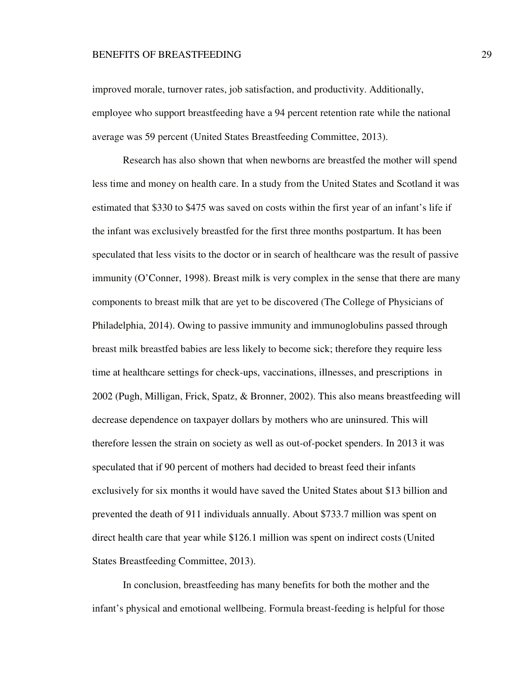improved morale, turnover rates, job satisfaction, and productivity. Additionally, employee who support breastfeeding have a 94 percent retention rate while the national average was 59 percent (United States Breastfeeding Committee, 2013).

 Research has also shown that when newborns are breastfed the mother will spend less time and money on health care. In a study from the United States and Scotland it was estimated that \$330 to \$475 was saved on costs within the first year of an infant's life if the infant was exclusively breastfed for the first three months postpartum. It has been speculated that less visits to the doctor or in search of healthcare was the result of passive immunity (O'Conner, 1998). Breast milk is very complex in the sense that there are many components to breast milk that are yet to be discovered (The College of Physicians of Philadelphia, 2014). Owing to passive immunity and immunoglobulins passed through breast milk breastfed babies are less likely to become sick; therefore they require less time at healthcare settings for check-ups, vaccinations, illnesses, and prescriptions in 2002 (Pugh, Milligan, Frick, Spatz, & Bronner, 2002). This also means breastfeeding will decrease dependence on taxpayer dollars by mothers who are uninsured. This will therefore lessen the strain on society as well as out-of-pocket spenders. In 2013 it was speculated that if 90 percent of mothers had decided to breast feed their infants exclusively for six months it would have saved the United States about \$13 billion and prevented the death of 911 individuals annually. About \$733.7 million was spent on direct health care that year while \$126.1 million was spent on indirect costs(United States Breastfeeding Committee, 2013).

In conclusion, breastfeeding has many benefits for both the mother and the infant's physical and emotional wellbeing. Formula breast-feeding is helpful for those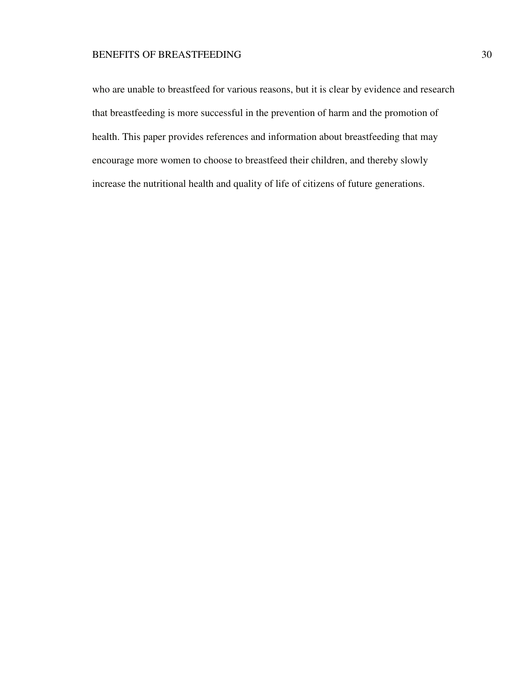who are unable to breastfeed for various reasons, but it is clear by evidence and research that breastfeeding is more successful in the prevention of harm and the promotion of health. This paper provides references and information about breastfeeding that may encourage more women to choose to breastfeed their children, and thereby slowly increase the nutritional health and quality of life of citizens of future generations.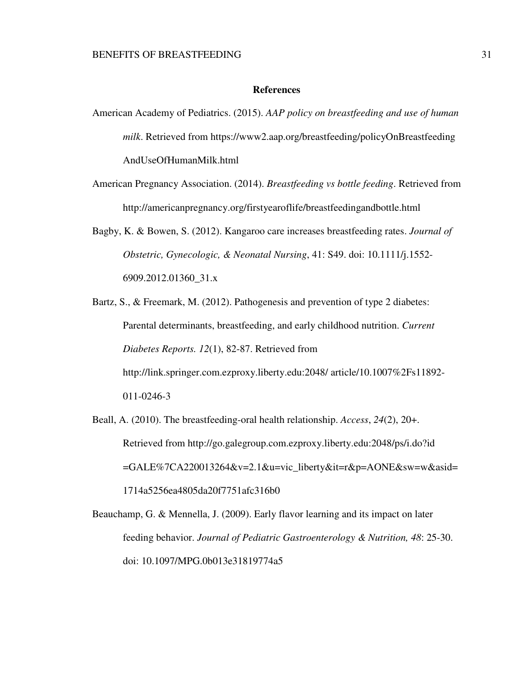## **References**

- American Academy of Pediatrics. (2015). *AAP policy on breastfeeding and use of human milk*. Retrieved from https://www2.aap.org/breastfeeding/policyOnBreastfeeding AndUseOfHumanMilk.html
- American Pregnancy Association. (2014). *Breastfeeding vs bottle feeding*. Retrieved from http://americanpregnancy.org/firstyearoflife/breastfeedingandbottle.html
- Bagby, K. & Bowen, S. (2012). Kangaroo care increases breastfeeding rates. *Journal of Obstetric, Gynecologic, & Neonatal Nursing*, 41: S49. doi: 10.1111/j.1552- 6909.2012.01360\_31.x
- Bartz, S., & Freemark, M. (2012). Pathogenesis and prevention of type 2 diabetes: Parental determinants, breastfeeding, and early childhood nutrition. *Current Diabetes Reports. 12*(1), 82-87. Retrieved from http://link.springer.com.ezproxy.liberty.edu:2048/ article/10.1007%2Fs11892- 011-0246-3
- Beall, A. (2010). The breastfeeding-oral health relationship. *Access*, *24*(2), 20+. Retrieved from http://go.galegroup.com.ezproxy.liberty.edu:2048/ps/i.do?id =GALE%7CA220013264&v=2.1&u=vic\_liberty&it=r&p=AONE&sw=w&asid= 1714a5256ea4805da20f7751afc316b0
- Beauchamp, G. & Mennella, J. (2009). Early flavor learning and its impact on later feeding behavior. *Journal of Pediatric Gastroenterology & Nutrition, 48*: 25-30. doi: 10.1097/MPG.0b013e31819774a5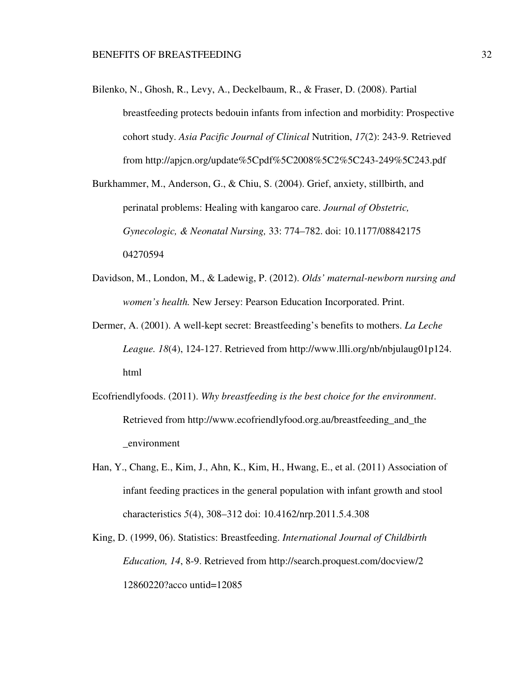Bilenko, N., Ghosh, R., Levy, A., Deckelbaum, R., & Fraser, D. (2008). Partial breastfeeding protects bedouin infants from infection and morbidity: Prospective cohort study. *Asia Pacific Journal of Clinical* Nutrition, *17*(2): 243-9. Retrieved from http://apjcn.org/update%5Cpdf%5C2008%5C2%5C243-249%5C243.pdf

Burkhammer, M., Anderson, G., & Chiu, S. (2004). Grief, anxiety, stillbirth, and perinatal problems: Healing with kangaroo care. *Journal of Obstetric, Gynecologic, & Neonatal Nursing,* 33: 774–782. doi: 10.1177/08842175 04270594

- Davidson, M., London, M., & Ladewig, P. (2012). *Olds' maternal-newborn nursing and women's health.* New Jersey: Pearson Education Incorporated. Print.
- Dermer, A. (2001). A well-kept secret: Breastfeeding's benefits to mothers. *La Leche League. 18*(4), 124-127. Retrieved from http://www.llli.org/nb/nbjulaug01p124. html
- Ecofriendlyfoods. (2011). *Why breastfeeding is the best choice for the environment*. Retrieved from http://www.ecofriendlyfood.org.au/breastfeeding and the \_environment
- Han, Y., Chang, E., Kim, J., Ahn, K., Kim, H., Hwang, E., et al. (2011) Association of infant feeding practices in the general population with infant growth and stool characteristics *5*(4), 308–312 doi: 10.4162/nrp.2011.5.4.308
- King, D. (1999, 06). Statistics: Breastfeeding. *International Journal of Childbirth Education, 14*, 8-9. Retrieved from http://search.proquest.com/docview/2 12860220?acco untid=12085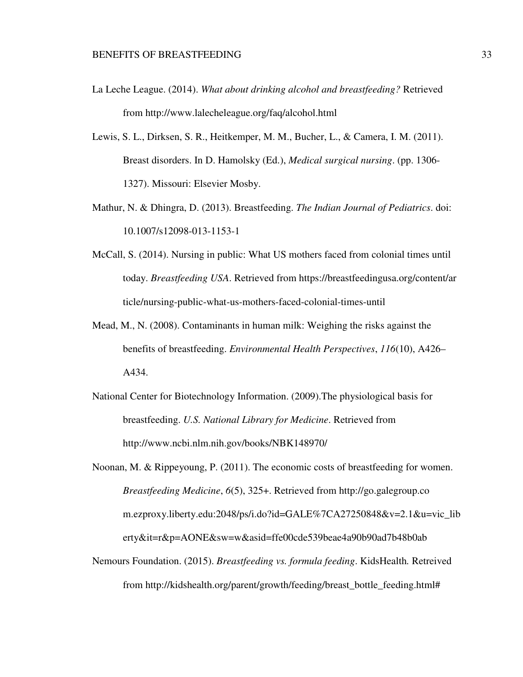- La Leche League. (2014). *What about drinking alcohol and breastfeeding?* Retrieved from http://www.lalecheleague.org/faq/alcohol.html
- Lewis, S. L., Dirksen, S. R., Heitkemper, M. M., Bucher, L., & Camera, I. M. (2011). Breast disorders. In D. Hamolsky (Ed.), *Medical surgical nursing*. (pp. 1306- 1327). Missouri: Elsevier Mosby.
- Mathur, N. & Dhingra, D. (2013). Breastfeeding. *The Indian Journal of Pediatrics*. doi: 10.1007/s12098-013-1153-1
- McCall, S. (2014). Nursing in public: What US mothers faced from colonial times until today. *Breastfeeding USA*. Retrieved from https://breastfeedingusa.org/content/ar ticle/nursing-public-what-us-mothers-faced-colonial-times-until
- Mead, M., N. (2008). Contaminants in human milk: Weighing the risks against the benefits of breastfeeding. *Environmental Health Perspectives*, *116*(10), A426– A434.
- National Center for Biotechnology Information. (2009).The physiological basis for breastfeeding. *U.S. National Library for Medicine*. Retrieved from http://www.ncbi.nlm.nih.gov/books/NBK148970/
- Noonan, M. & Rippeyoung, P. (2011). The economic costs of breastfeeding for women. *Breastfeeding Medicine*, *6*(5), 325+. Retrieved from http://go.galegroup.co m.ezproxy.liberty.edu:2048/ps/i.do?id=GALE%7CA27250848&v=2.1&u=vic\_lib erty&it=r&p=AONE&sw=w&asid=ffe00cde539beae4a90b90ad7b48b0ab
- Nemours Foundation. (2015). *Breastfeeding vs. formula feeding*. KidsHealth*.* Retreived from http://kidshealth.org/parent/growth/feeding/breast\_bottle\_feeding.html#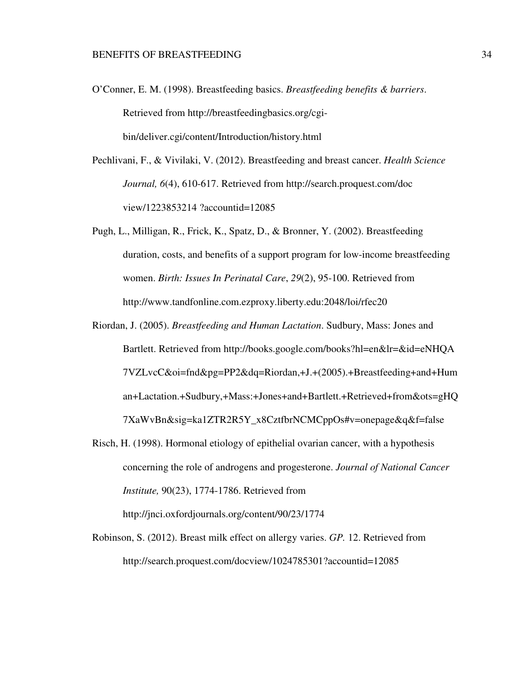- O'Conner, E. M. (1998). Breastfeeding basics. *Breastfeeding benefits & barriers*. Retrieved from http://breastfeedingbasics.org/cgibin/deliver.cgi/content/Introduction/history.html
- Pechlivani, F., & Vivilaki, V. (2012). Breastfeeding and breast cancer. *Health Science Journal, 6*(4), 610-617. Retrieved from http://search.proquest.com/doc view/1223853214 ?accountid=12085
- Pugh, L., Milligan, R., Frick, K., Spatz, D., & Bronner, Y. (2002). Breastfeeding duration, costs, and benefits of a support program for low-income breastfeeding women. *Birth: Issues In Perinatal Care*, *29*(2), 95-100. Retrieved from http://www.tandfonline.com.ezproxy.liberty.edu:2048/loi/rfec20
- Riordan, J. (2005). *Breastfeeding and Human Lactation*. Sudbury, Mass: Jones and Bartlett. Retrieved from http://books.google.com/books?hl=en&lr=&id=eNHQA 7VZLvcC&oi=fnd&pg=PP2&dq=Riordan,+J.+(2005).+Breastfeeding+and+Hum an+Lactation.+Sudbury,+Mass:+Jones+and+Bartlett.+Retrieved+from&ots=gHQ 7XaWvBn&sig=ka1ZTR2R5Y\_x8CztfbrNCMCppOs#v=onepage&q&f=false
- Risch, H. (1998). Hormonal etiology of epithelial ovarian cancer, with a hypothesis concerning the role of androgens and progesterone. *Journal of National Cancer Institute,* 90(23), 1774-1786. Retrieved from http://jnci.oxfordjournals.org/content/90/23/1774
- Robinson, S. (2012). Breast milk effect on allergy varies. *GP.* 12. Retrieved from http://search.proquest.com/docview/1024785301?accountid=12085